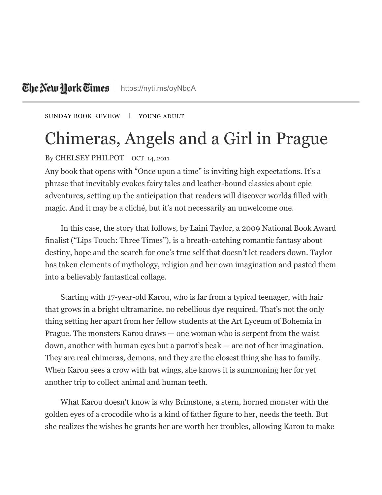## The Netu Hork Times | <https://nyti.ms/oyNbdA>

[SUNDAY](https://www.nytimes.com/pages/books/review/index.html) BOOK REVIEW | YOUNG ADULT

## Chimeras, Angels and a Girl in Prague

## By CHELSEY PHILPOT OCT. 14, 2011

Any book that opens with "Once upon a time" is inviting high expectations. It's a phrase that inevitably evokes fairy tales and leather-bound classics about epic adventures, setting up the anticipation that readers will discover worlds filled with magic. And it may be a cliché, but it's not necessarily an unwelcome one.

In this case, the story that follows, by Laini Taylor, a 2009 National Book Award finalist ("Lips Touch: Three Times"), is a breath-catching romantic fantasy about destiny, hope and the search for one's true self that doesn't let readers down. Taylor has taken elements of mythology, religion and her own imagination and pasted them into a believably fantastical collage.

Starting with 17-year-old Karou, who is far from a typical teenager, with hair that grows in a bright ultramarine, no rebellious dye required. That's not the only thing setting her apart from her fellow students at the Art Lyceum of Bohemia in Prague. The monsters Karou draws — one woman who is serpent from the waist down, another with human eyes but a parrot's beak — are not of her imagination. They are real chimeras, demons, and they are the closest thing she has to family. When Karou sees a crow with bat wings, she knows it is summoning her for yet another trip to collect animal and human teeth.

What Karou doesn't know is why Brimstone, a stern, horned monster with the golden eyes of a crocodile who is a kind of father figure to her, needs the teeth. But she realizes the wishes he grants her are worth her troubles, allowing Karou to make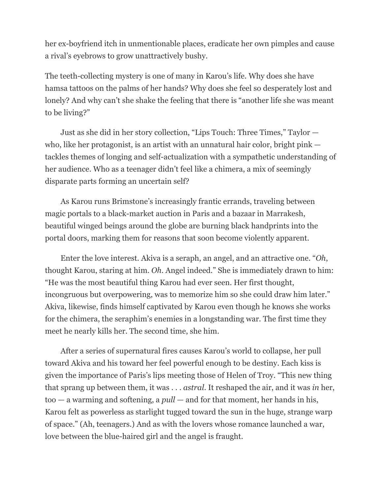her ex-boyfriend itch in unmentionable places, eradicate her own pimples and cause a rival's eyebrows to grow unattractively bushy.

The teeth-collecting mystery is one of many in Karou's life. Why does she have hamsa tattoos on the palms of her hands? Why does she feel so desperately lost and lonely? And why can't she shake the feeling that there is "another life she was meant to be living?"

Just as she did in her story collection, "Lips Touch: Three Times," Taylor who, like her protagonist, is an artist with an unnatural hair color, bright pink tackles themes of longing and self-actualization with a sympathetic understanding of her audience. Who as a teenager didn't feel like a chimera, a mix of seemingly disparate parts forming an uncertain self?

As Karou runs Brimstone's increasingly frantic errands, traveling between magic portals to a black-market auction in Paris and a bazaar in Marrakesh, beautiful winged beings around the globe are burning black handprints into the portal doors, marking them for reasons that soon become violently apparent.

Enter the love interest. Akiva is a seraph, an angel, and an attractive one. "*Oh*, thought Karou, staring at him. *Oh*. Angel indeed." She is immediately drawn to him: "He was the most beautiful thing Karou had ever seen. Her first thought, incongruous but overpowering, was to memorize him so she could draw him later." Akiva, likewise, finds himself captivated by Karou even though he knows she works for the chimera, the seraphim's enemies in a longstanding war. The first time they meet he nearly kills her. The second time, she him.

After a series of supernatural fires causes Karou's world to collapse, her pull toward Akiva and his toward her feel powerful enough to be destiny. Each kiss is given the importance of Paris's lips meeting those of Helen of Troy. "This new thing that sprang up between them, it was . . . *astral*. It reshaped the air, and it was *in* her, too — a warming and softening, a *pull* — and for that moment, her hands in his, Karou felt as powerless as starlight tugged toward the sun in the huge, strange warp of space." (Ah, teenagers.) And as with the lovers whose romance launched a war, love between the blue-haired girl and the angel is fraught.